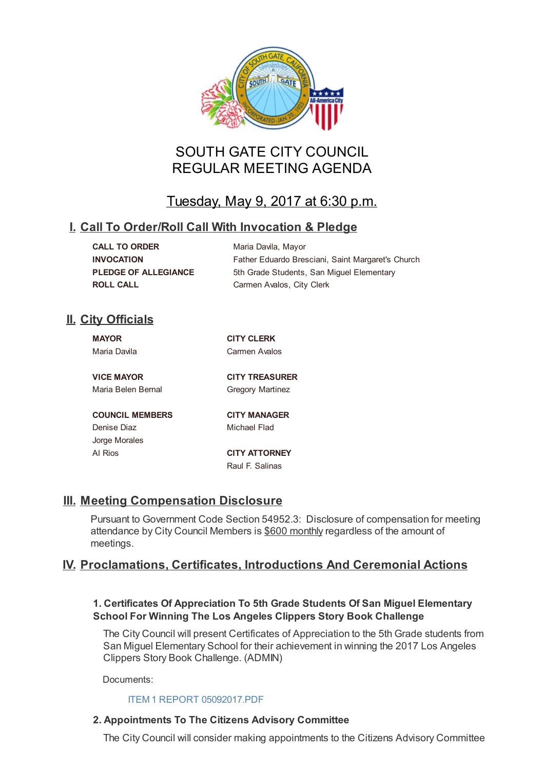

# SOUTH GATE CITY COUNCIL REGULAR MEETING AGENDA

# Tuesday, May 9, 2017 at 6:30 p.m.

# **I. Call To Order/Roll Call With Invocation & Pledge**

| <b>CALL TO ORDER</b>        |
|-----------------------------|
| <b>INVOCATION</b>           |
| <b>PLEDGE OF ALLEGIANCE</b> |
| <b>ROLL CALL</b>            |

**Maria Davila, Mayor** Father Eduardo Bresciani, Saint Margaret's Church **5th Grade Students, San Miguel Elementary Carmen Avalos, City Clerk** 

# **II. City Officials**

| <b>MAYOR</b>           | <b>CITY CLERK</b>       |
|------------------------|-------------------------|
| Maria Davila           | Carmen Avalos           |
|                        |                         |
| <b>VICE MAYOR</b>      | <b>CITY TREASURER</b>   |
| Maria Belen Bernal     | <b>Gregory Martinez</b> |
|                        |                         |
| <b>COUNCIL MEMBERS</b> | <b>CITY MANAGER</b>     |
| Denise Diaz            | Michael Flad            |
| Jorge Morales          |                         |
| Al Rios                | <b>CITY ATTORNEY</b>    |
|                        | Raul E. Salinas         |

# **III. Meeting Compensation Disclosure**

Pursuant to Government Code Section 54952.3: Disclosure of compensation for meeting attendance by City Council Members is \$600 monthly regardless of the amount of meetings.

# **IV. Proclamations, Certificates, Introductions And Ceremonial Actions**

# **1. Certificates Of Appreciation To 5th Grade Students Of San Miguel Elementary School For Winning The Los Angeles Clippers Story Book Challenge**

The City Council will present Certificates of Appreciation to the 5th Grade students from San Miguel Elementary School for their achievement in winning the 2017 Los Angeles Clippers Story Book Challenge. (ADMIN)

Documents:

# ITEM 1 REPORT 05092017.PDF

# **2. Appointments To The Citizens Advisory Committee**

The City Council will [consider](http://ca-southgate.civicplus.com/AgendaCenter/ViewFile/Item/4135?fileID=9707) making appointments to the Citizens Advisory Committee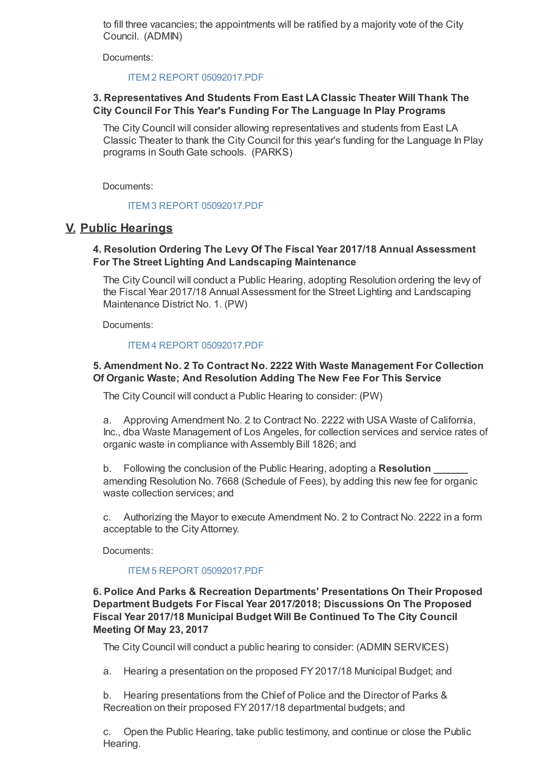to fill three vacancies; the appointments will be ratified by a majority vote of the City Council. (ADMIN)

Documents:

### ITEM 2 REPORT 05092017.PDF

## **3. Representatives And Students From East LA Classic Theater Will Thank The City Council For This Year's Funding For The Language In Play Programs**

The City Council will consider allowing representatives and students from East LA Classic Theater to thank the City Council for this year's funding for the Language In Play programs in South Gate schools. (PARKS)

Documents:

### ITEM 3 REPORT 05092017.PDF

# **V. Public Hearings**

## **4. Resolution Ordering The Levy Of The Fiscal Year 2017/18 Annual Assessment For The Street Lighting And Landscaping Maintenance**

The City Council will conduct a Public Hearing, adopting Resolution ordering the levy of the Fiscal Year 2017/18 Annual Assessment for the Street Lighting and Landscaping Maintenance District No. 1. (PW)

Documents:

### ITEM 4 REPORT 05092017.PDF

# **5. Amendment No. 2 To Contract No. 2222 With Waste Management For Collection Of Organic Waste; And Resolution Adding The New Fee For This Service**

The City Council will conduct a Public Hearing to consider: (PW)

a. Approving Amendment No. 2 to Contract No. 2222 with USA Waste of California, Inc., dba Waste Management of Los Angeles, for collection services and service rates of organic waste in compliance with Assembly Bill 1826; and

b. Following the conclusion of the Public Hearing, adopting a **Resolution \_\_\_\_\_\_** amending Resolution No. 7668 (Schedule of Fees), by adding this new fee for organic waste collection services; and

c. Authorizing the Mayor to execute Amendment No. 2 to Contract No. 2222 in a form acceptable to the City Attorney.

Documents:

### ITEM 5 REPORT 05092017.PDF

## **6. Police And Parks & Recreation Departments' Presentations On Their Proposed Department Budgets For Fiscal Year 2017/2018; Discussions On The Proposed Fiscal Year 2017/18 Municipal Budget Will Be Continued To The City Council Meeting Of May 23, 2017**

The City Council will conduct a public hearing to consider: (ADMIN SERVICES)

a. Hearing a presentation on the proposed FY2017/18 Municipal Budget; and

b. Hearing presentations from the Chief of Police and the Director of Parks & Recreation on their proposed FY2017/18 departmental budgets; and

c. Open the Public Hearing, take public testimony, and continue or close the Public Hearing.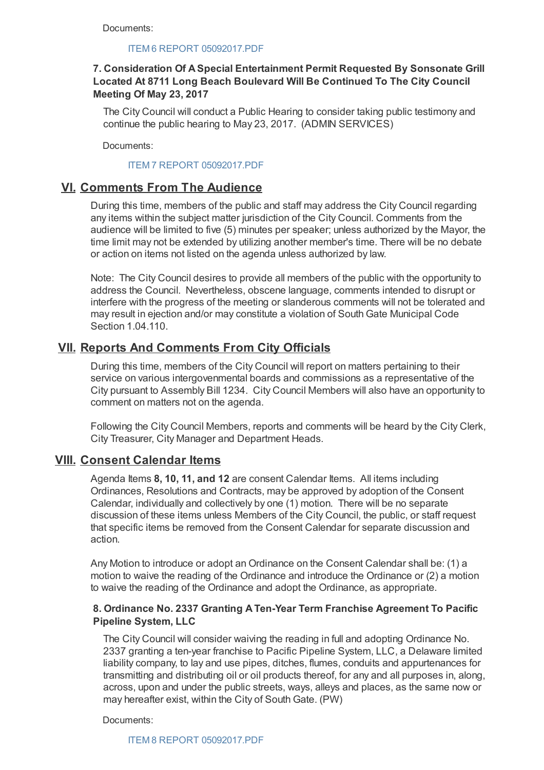Documents:

#### ITEM 6 REPORT 05092017.PDF

# **7. Consideration Of A Special Entertainment Permit Requested By Sonsonate Grill Located At 8711 Long Beach Boulevard Will Be Continued To The City Council Meeting Of May 23, 2017**

The City Council will conduct a Public Hearing to consider taking public testimony and continue the public hearing to May 23, 2017. (ADMIN SERVICES)

Documents:

### ITEM 7 REPORT 05092017.PDF

# **VI. Comments From The Audience**

During this time, members of the public and staff may address the City Council regarding any items within the subject matter jurisdiction of the City Council. Comments from the audience will be limited to five (5) minutes per speaker; unless authorized by the Mayor, the time limit may not be extended by utilizing another member's time. There will be no debate or action on items not listed on the agenda unless authorized by law.

Note: The City Council desires to provide all members of the public with the opportunity to address the Council. Nevertheless, obscene language, comments intended to disrupt or interfere with the progress of the meeting or slanderous comments will not be tolerated and may result in ejection and/or may constitute a violation of South Gate Municipal Code Section 1.04.110.

# **VII. Reports And Comments From City Officials**

During this time, members of the City Council will report on matters pertaining to their service on various intergovenmental boards and commissions as a representative of the City pursuant to Assembly Bill 1234. City Council Members will also have an opportunity to comment on matters not on the agenda.

Following the City Council Members, reports and comments will be heard by the City Clerk, City Treasurer, City Manager and Department Heads.

# **VIII. Consent Calendar Items**

Agenda Items **8, 10, 11, and 12** are consent Calendar Items. All items including Ordinances, Resolutions and Contracts, may be approved by adoption of the Consent Calendar, individually and collectively by one (1) motion. There will be no separate discussion of these items unless Members of the City Council, the public, or staff request that specific items be removed from the Consent Calendar for separate discussion and action.

Any Motion to introduce or adopt an Ordinance on the Consent Calendar shall be: (1) a motion to waive the reading of the Ordinance and introduce the Ordinance or (2) a motion to waive the reading of the Ordinance and adopt the Ordinance, as appropriate.

## **8. Ordinance No. 2337 Granting A Ten-Year Term Franchise Agreement To Pacific Pipeline System, LLC**

The City Council will consider waiving the reading in full and adopting Ordinance No. 2337 granting a ten-year franchise to Pacific Pipeline System, LLC, a Delaware limited liability company, to lay and use pipes, ditches, flumes, conduits and appurtenances for transmitting and distributing oil or oil products thereof, for any and all purposes in, along, across, upon and under the public streets, ways, alleys and places, as the same now or may hereafter exist, within the City of South Gate. (PW)

Documents:

ITEM 8 REPORT 05092017.PDF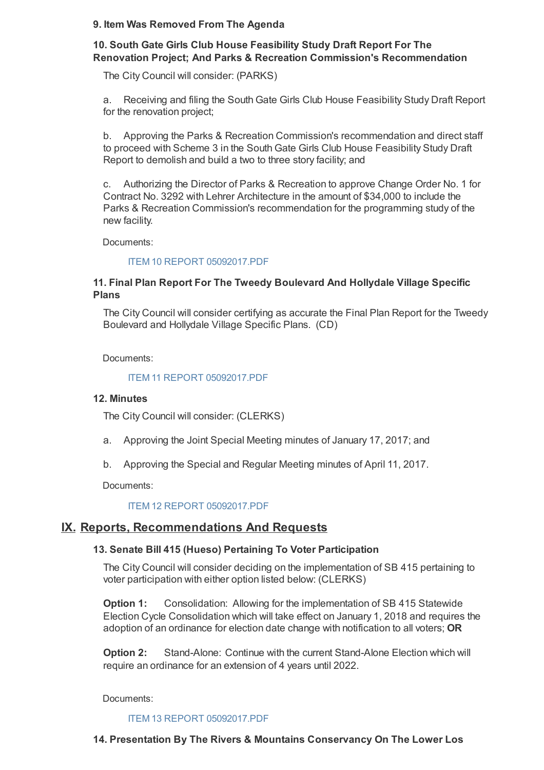## **9. Item Was Removed From The Agenda**

# **10. South Gate Girls Club House Feasibility Study Draft Report For The Renovation Project; And Parks & Recreation Commission's Recommendation**

The City Council will consider: (PARKS)

a. Receiving and filing the South Gate Girls Club House Feasibility Study Draft Report for the renovation project;

b. Approving the Parks & Recreation Commission's recommendation and direct staff to proceed with Scheme 3 in the South Gate Girls Club House Feasibility Study Draft Report to demolish and build a two to three story facility; and

c. Authorizing the Director of Parks & Recreation to approve Change Order No. 1 for Contract No. 3292 with Lehrer Architecture in the amount of \$34,000 to include the Parks & Recreation Commission's recommendation for the programming study of the new facility.

Documents:

### ITEM 10 REPORT 05092017.PDF

## **11. Final Plan Report For The Tweedy Boulevard And Hollydale Village Specific Plans**

The City Council will consider certifying as accurate the Final Plan Report for the Tweedy Boulevard and Hollydale Village Specific Plans. (CD)

Documents:

### ITEM 11 REPORT 05092017.PDF

### **12. Minutes**

The City Council will consider: (CLERKS)

- a. Approving the Joint Special Meeting minutes of January 17, 2017; and
- b. Approving the Special and Regular Meeting minutes of April 11, 2017.

Documents:

### ITEM 12 REPORT 05092017.PDF

# **IX. Reports, Recommendations And Requests**

### **13. Senate Bill 415 (Hueso) Pertaining To Voter Participation**

The City Council will consider deciding on the implementation of SB 415 pertaining to voter participation with either option listed below: (CLERKS)

**Option 1:** Consolidation: Allowing for the implementation of SB 415 Statewide Election Cycle Consolidation which will take effect on January 1, 2018 and requires the adoption of an ordinance for election date change with notification to all voters; **OR**

**Option 2:** Stand-Alone: Continue with the current Stand-Alone Election which will require an ordinance for an extension of 4 years until 2022.

Documents:

ITEM 13 REPORT 05092017.PDF

### **14. Presentation By The Rivers & Mountains Conservancy On The Lower Los**